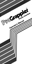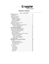# **PROGrappler**

# **Operator's Manual**

# TABLE OF CONTENTS

| Preparing the Apple IIGS 'Control Panel"9 |  |
|-------------------------------------------|--|
|                                           |  |
|                                           |  |
|                                           |  |
|                                           |  |
|                                           |  |
|                                           |  |
|                                           |  |
|                                           |  |
| Using PRO-GRAPPLER as a Desk Accessory15  |  |
|                                           |  |
|                                           |  |
|                                           |  |
|                                           |  |
|                                           |  |
|                                           |  |
|                                           |  |
|                                           |  |
|                                           |  |
|                                           |  |
|                                           |  |
|                                           |  |
|                                           |  |
|                                           |  |
|                                           |  |
|                                           |  |
|                                           |  |
|                                           |  |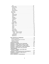<span id="page-2-0"></span>

| Center:                                    |  |
|--------------------------------------------|--|
| Center:                                    |  |
|                                            |  |
|                                            |  |
|                                            |  |
|                                            |  |
|                                            |  |
|                                            |  |
|                                            |  |
|                                            |  |
|                                            |  |
|                                            |  |
| APPENDIX A: RUNNING TEST PROGRAMS 31       |  |
| APPENDIX B: PRINT GRAPH SAVED TO DISK33    |  |
| APPENDIX C: LOADING DUAL HI-RES PAGES 34   |  |
| APPENDIX D: SIMULATING A CHART RECORDER35  |  |
| <b>APPENDIX E: ROUTINES FOR ADVANCED</b>   |  |
|                                            |  |
| <b>APPENDIX F: MEMORY LOCATIONS AND</b>    |  |
|                                            |  |
| APPENDIX G: PRO-GRAPPLER PIN ASSIGNMENTS37 |  |
| APPENDIX H: PRINTER COMPATIBILITY38        |  |
|                                            |  |
|                                            |  |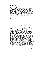# <span id="page-3-0"></span>**GETTING STARTED**

# **INTRODUCTION**

The PRO-GRAPPLER is a board which acts as a link between your Apple computer and your printer. It allows you to print graphics and text onto a wide variety of high-quality dot-matrix printers, including color printers. Many of these printers have very powerful features which may not be accessible from your prepackaged program. The PRO-GRAPPLER allows you to access these powerful features directly.

The PRO-GRAPPLER is designed for your Apple II, II +,IIe, or IIGS computer. It is easy to install, easy to learn, and easy to use. You simply plug the PRO-GRAPPLER board into your computer, plug your printer cable into the end of the PRO-GRAPPLER board, then use the many powerful features available from the PRO-GRAPPLER to print out text or graphics.

# **About This Manual**

This manual is written for the first time user who might not be familiar with how to install a circuit board. But we've also included enough detail for those of you who are more experienced or would like to know more about how the PRO-GRAPPLER works. Chapter 1, **Getting Started,** discusses the computers, software, and printers you will need; how to install the PRO-GRAP-PLER; and how to make your PRO-GRAPPLER look invisible to programs which might not work well when its there. Once you read this chapter and follow the instructions, you will have plug ged the PRO-GRAPPLER board into your computer, hooked everything up, turned everything on, and run a test print to make sure everything works properly. Now you are ready for some basics in Chapter 2.

Chapter 2, **PRO-GRAPPLER BASICS,** describes what the PRO-GRAPPLER will do for you and how it is done. You will also learn how to use the Pull-Down Menus (similar to the menus used by many Apple programs) and how to enter keyboard commands directly or from within a program. After you read this chapter, you are ready to actually use the PRO-GRAPPLER. Chapter 3, **PRO-GRAPPLER SCREEN MENUS,** describes the use of each menu which you see on the screen. These menus are grouped into six Main Menus according to the type of functions they perform. Read this chapter to become familiar with what each menu does. Later, you can use this chapter as a quick reference.

Chapter 4, **PRO-GRAPPLER COMMANDS,** is for those who are comfortable with keyboard commands such as (Control-I) commands, and PRINT statements. This chapter provides only a brief description of each command. Details of each command are found in Chapter 3 under the appropriate menu name.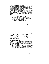<span id="page-4-0"></span>Chapter 5, **TROUBLESHOOTING,** provides information on how to identify and correct the most common operational probems, it is not meant to provide exhaustive detail for every conceivable situation, but it should cover problems you might encounter with most popular software.

The **APPENDIXES** provides information on how to run grapics test programs; how to print in color (with a color printer); how to load DUAL HI-RES pages; how to simulate a chart recorder: routines for advanced programmers; and cable connector pinouts.

# **EQUIPMENT YOU NEED**

As a minimum, you need the following equipment:

- An Apple lIe, Apple II+, or Apple IIGS computer system w ith a monitor, floppy disk drive, and software;
- Any Centronics-type parallel printer; and
- The PRO-GRAPPLER board.

**NOTE:** if you want to use the Apple IIe Mouse (or any compatible mouse), you must also have an Enhanced Apple IIe and an 80 column card.

# **COMPATIBILITY NOTES**

Before you start, you should be aware of any limitations which might exist when using certain computers, printers, and programs.

# **Computer Compatibility**

The PRO-GRAPPLER was specially designed for the Apple IIGS. However, it is also designed to be used with the Apple lIe and the Apple II **+.** Although the PRO-GRAPPLER works essentially the same with each of these computers, it is assumed that we are talking specifically about the Apple IIGS. Any differences relative to the Apple II e or Apple II  $+$  are called out in special notes where appropriate.

# **Software Compatibility**

The PRO-GRAPPLER is fully compatible with Applesoft BASIC, DOS 3.3, ProDos, ProDos 16, integer BASIC, PASCAL, and CP/ M. The PRO-GRAPPLER functions normally, with a few minor exceptions noted here:

1. PASCAL 1.0 and CP/M use (Control~i)1 to represent a horizontal tab. If you are listing a file which contains tabs, first set the tabs according to your printer manual. Then list the file.

PASCAL 1.1 correctly interprets that the PRO~GRAPPLER is a firmware printer interface and accesses it accordingly.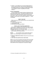2. PASCAL 1.0 and GRIM use one of the I/O RAM locations to pass the output character. Since the PRO-GRAPPLER uses all available locations for its variable, the Right Margin function is not available to maintain compatibility with existing software.2

# **Printer Compatibility**

The PRO-GRAPPLER provides hardware interfacing for Centronics-type parallel printers. The features provided by the PRO-GRAPPLER will support the printers named on the box top or those listed in Table 1 (DIP Switch Settings). Specific features not available in certain printers are provided in Appendix H — Printer Compatibility.

# **WHAT YOU GET**

When you open the PRO-GRAPPLER box, you should find the following items:

- 1. The PRO-GRAPPLER board
- 2. A parallel printer cable
- 3. PRO-GRAPPLER Operators Manual

# **INSTALLING THE PRO-GRAPPLER**

Each step for installing the PRO-GRAPPLER board into your Apple computer is detailed for the first-time user. All you need is a flathead screwdriver. Just follow these steps:

**1.POWER OFF.**Unplug your computer, printer, and monitor from power outlets before doing anything.

**NOTE:** Do not install or remove a board when power is applied. This could damage the board and/or the computer

- <span id="page-5-0"></span>**2. REMOVE COMPUTER COVER.** Remove the cover from your computer.
- **3. SET THE PRO-GRAPPLER DIP SWITCHES.**

**NOTE:** First, touch any metal part of the back panel of the Apple with your finger to discharge any static electricity you may have built up so tar This protects any sensitive components on the PRO-GRAPPLER from damage due to high static voltages.

2 This feature is still available from BASIC and PASCAL 1.1.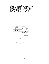Figure 1 shows the location of the major components of the PRO-GRAPPLER board. Notice the group of switches located at the top left of the board. These switches are labeled "1,2,3,4,5,6," and are collectively referred to as DIP switches. The setting o f these DIP switches determines how the Pull-Down Menus respond for the printer you are using. Find your printer in TabIe 1 then set each switch according to the settings shown.3





**NOTE:** A toothpick works best to flip the switches ON or OFF but you can also use a straightened paper clip, pencil or pen.

if your printer is not listed in Tablet, try using the settings for the Epson printers. Epson codes are widely used throughout the printer industry If this tails, contact your printer manufacturer and ask which major printer brands your printer is compatible with. If your printer is not compatible with any of the printers listed in Table 1, contact your dealer immediately. Your PRO-GRAPPLERs built-in graphics features may not be available for your particular printer.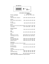| DIP SWITCH SETTINGS                                                                             |                          |                                          |          |                         |                         |                         |
|-------------------------------------------------------------------------------------------------|--------------------------|------------------------------------------|----------|-------------------------|-------------------------|-------------------------|
|                                                                                                 |                          |                                          |          | <b>SWITCHES</b>         |                         |                         |
| <b>Printer and Model</b>                                                                        | #1                       | #2                                       |          | #3 #4 #5                |                         | #6                      |
| <b>Brother</b><br>1109, 1509, 2024L, Twinwriter 5                                               |                          |                                          |          |                         |                         | OFF OFF ON OFF OFF OFF  |
| Citizen<br>MSP 10, MSP 15, MSP 20 MSP 25                                                        |                          |                                          |          |                         |                         | OFF ON OFF OFF OFF OFF  |
| C. Itoh<br>Pro Writer 8510                                                                      |                          |                                          |          |                         |                         | ON ON OFF OFF OFF OFF   |
| <b>Epson</b><br>RX,LX,LQ,FX,DX Series,SQ 2000,HS 80 ON ON ON OFF OFF OFF<br><b>Color Models</b> | ON                       |                                          |          | ON ON OFF               |                         | OFF ON                  |
| <b>Hewlett Packard</b><br>ThinkJet                                                              | ΟN                       |                                          | ON ON ON |                         |                         | OFF OFF                 |
| IBM<br><b>ProPrinter</b>                                                                        |                          |                                          |          |                         |                         | ON OFF OFF OFF OFF OFF  |
| <b>NEC</b><br>Pinwriter P2, P3, and P5<br>Color Models (C P2. CP3)                              | OFF OFF ON<br>OFF OFF ON |                                          |          | ON                      | OFF ON                  | ON OFF OFF              |
| Okadata<br>80. 90, 190 Series, 2410<br>Color Models (290 Series)<br>Okimate 10 and 20           |                          | <b>OFF ON</b><br><b>OFF ON</b><br>OFF ON | ON<br>ON |                         | OFF OFF ON<br>ON OFF ON | ON OFF OFF OFF          |
| Panasonic<br>KX-P1 080, KX-P1 090, KX-P1 091, KX-P1092,<br>KX-P1592                             |                          |                                          |          |                         |                         | ON ON ON OFF OFF OFF    |
| <b>Star Micronics</b><br>5G. SR, SD Series                                                      | OΝ                       |                                          |          |                         |                         | OFF ON OFF OFF OFF      |
| Toshiba<br>P-321, P-341, P-350, P-351, P-1341, P-1350,<br>P-1351<br>Color Model (P-351C)        |                          | <b>OFF ON</b><br><b>OFF ON</b>           |          | <b>OFF ON</b><br>OFF ON |                         | OFF OFF<br>OFF ON       |
| <b>Transparent Mode</b>                                                                         |                          |                                          |          |                         |                         | OFF OFF OFF OFF OFF OFF |

**Table 1. DIP Switch settings for various printers.**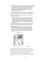- **4.LOCATE SLOT** #1. Figure 2 shows an illustration of the inside of an Apple II computer. There are seven slots inside the Apple lIe and Apple IIGS. These slots are lined up in a row towards the back as you face the keyboard. Slot #1 is the first slot on the left side of the computer chassis (nearest the power supply), and is marked with a 1".
- **5.ATTACH CABLE.** There are a series of oval shaped cutouts which are lined up with each slot at the rear of your computer.

**NOTE:** If the hole for the board's connector is covered for that slot, remove it at this time.

Insert the smallest end of the printer cable (included in box) into the cutout (from the outside going in) nearest slot #1. Using a flathead screwdriver, loosen the ground clamp on the cable. Slide the ground clamp up inside the cutout such that the screw fits into the notch. Tighten the screw with the screwdriver.6

Now attach the cable end (which is now inside your computer) to the connector on the PRO-GRAPPLER board marked 'Printer".

**6** . **INSERT BOARD.** If Slot #1 is empty, position the PRO-GRAPPLER board such that the card edge connector (see Figure 1) is directly over Slot #1. Now gently push the card edge connector into the slot by slowly rocking the board into the slot as you press down. It feels solid when the board is secure.



Figure 2

**4** The Apple lIe, Apple II--, and Apple IIGS all look nearly the same from the inside. 5 We assume that you inserted the PRO GRAPPLER into Slot #1. If you inserted the PRO-GRAPPLER into a different slot, be sum to remember that slot number. Substitute that slot number wherever references to a "#" are made For example, if the PRO-GRAPPLER is in Slot #2, then whenever you see the command PR#1 ,type 'PR#2 instead.

6 FCC regulations require that the printer cable be grounded to the computer chassis to minimize computer interference with nearby radio and television reception (within FCC Class B limits).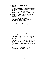- <span id="page-9-0"></span>**6. REPLACE COMPUTER COVER.** Replace the cover to the computer.
- **7. GET YOUR PRINTER READY.** Refer to your Printer Manual and set the DIP switches inside your printer to correspond to the following :7

Data Bits  $= 7$ , Line Feed  $=$  None.

Now connect the largest end of the printer cable to the printer.

**8. PLUG EVERYTHING IN.** You may now plug your computer, monitor, and printer into a power outlet, but **do not turn anything on yet.**

# **Testing The Installation**

Now that you have installed the board, run a simple print test to verify that everything works as it should.

# **PREPARING THE APPLE IIGS "CONTROL PANEL"**

If you are using an Apple IIGS, you must tell it which slot the PRO-GRAPPLER is in. This is done by setting up the Control Panel"

menu with the following procedure:

- **1. TURN POWER ON.** Turn on the power to the Apple IIGS.
- **2. DESK ACCESSORIES MENU.** Bring up the Desk Accessories Menu by entering (Control -  $\circlearrowright$  -E SC).
- **3**.**SELECT "CONTROL PANEL".** Select the Control Panel" item with the up/down arrow keys, then hit (Return). This brings up the Control Panel menu.
- **4. SELECT "SLOTS".** Select the Slots" item with the up/ down arrow keys, then hit (Return). This brings up the Slots sub-menu.
- **5**. **SELECT "SLOT** 1". Select the 'Slot 1: Printer Port" item 8, then hit the right arrow key to change 'Printer Port" to 'Your Card".
- **6. RETURN TO ORIGINAL SCREEN.** Hit (Return) to bring you back to the Control Panel menu. Select "Quit" from the Control Panel menu. Hit (Return) to bring you back to the Desk Accessories menu. Select "Quit" from the Desk Accessories menu. Hit (Return) to bring you back to the Desk Accessories menu. Select "Quit" from the Desk Accessories menu. You now see the "]" prompt.

<sup>7</sup> Most printers are already set for this standard setting.

<sup>8</sup> Remember to substitute the correct slot number here if the PRO-GRAPPLER is not plugged into Slot #1.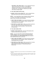7. **RE-BOOT THE APPLE IIGS.** Turn your Apple IIGS off, wait about 5 seconds, then turn it back on. This installs the selections you just made. You only need to perform this procedure once. The settings are retained by your Apple IIGS until you change it again.

# **IF YOU ARE USING APPLE DOS**

**1.INSERT APPLE DOS DISKETTE.** Insert an Apple DOS diskette all the way into your Disk Drive and close the door.

**NOTE:** It's not a good idea to insert a diskette while the disk drive is running. If the red light on the disk drive is lit, turn off the power to your corn puter insert the diskette.

- 2. **NOW TURN ON POWER.** After double-checking everything, you may now turn on your computer, monitor, and printer. This automatically starts your program.
- 3. **RUN INSTALLATION TEST.** When you see the "]" prompt on the screen, type: PR#19, then hit the (Return) key several times. Your printer should be printing a "]" each time you hit the (Return) key.

# **IF YOU ARE USING CP/M**

**1.INSERT CP/M DISKETTE.** Insert the CP/M diskette all the way into the Disk Drive and close the door.

<span id="page-10-0"></span>**NOTE:** It you are using CP/M, the PRO-GRAPPLER **must** be installed in **Slat #1.** If it is not, go back to the beginning of this section **(Installing The PRO-GRAPPLER)** and re-install the PRO-GRAPPLER into Slot #1 at this time.

- 2. **NOW TURN ON POWER.** After double-checking everything, you may now turn on your computer, monitor, and printer This automatically starts your program.
- 3. **RUN INSTALLATION TEST.** When you see the "A>" prompt, enter (Control~P)1O, then hit (Return) several times. Your printer should be printing an "A>'"each time you hit the (Return) key.

<sup>9</sup> Remember to substitute the the correct slot number here if the PRO-GRAPPLER S not plugged into Sot #1.

<sup>10</sup> If this is your first time,( Confrol-P) means to hold down the Control) key and type P then release the (Control) key. Follow this same procedure anywhere there is a (Control-x), where a in the character indicated, for that command.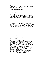# <span id="page-11-0"></span>**If You Have Trouble**

Double-check everything in this last section. If you cannot find the problem, check for the following:

- a) Printer power cord is plugged in
- b) Printer power is on
- c) Printer cable is solidly attached
- d) Printer Select" is on
- e) Paper is in printer.

# **Congratulations**

 You have now successfully installed the PRO-GRAPPLER! You have also tested it to make sure everything is working. Now read the next chapter to learn a few basics before actually using it to print something.

# **PRO-GRAPPLER BASICS**

 In this chapter, you learn what the PRO-GRAPPLER does, how it does it, how to turn it on and off, how to use the Pull - Down Menus and the keyboard, and how to do some special things with the PRO-GRAPPLER which you may not be able to do with other interface products.

# **What the PRO-GRAPPLER Will Do**

 The PRO-GRAPPLER has built-in capabilities to allow you to print text and graphics on a dot-matrix printer without using another software programs commands. This means that you can specify things like left and right margins, top and bottom margins, line length, page size, magnification, rotation, colors, page titles, and much more, independent of the pre-packaged program you are using. Of course, if your program has some of these features, you can use either that programs' commands or those available from the PRO-GRAPPLER. You can even combine the features from both to get exactly what you want.

# **How the PRO-GRAPPLER Works**

 The PRO-GRAPPLER links your Apple to your printer. The PRO-GRAPPLER executes printing commands only when you turn it ON. If you are using print commands from a pre-packaged program, these commands are passed on to the printer and print as usual.

The PRO-GRAPPLER is activated whenever it sees a "+"11 preceding a word. This tells the PRO-GRAPPLER that this is a print command. There are three ways in which a "+" command is sent to the PRO-GRAPPLER:

1.With Pull-Down Menus ("+" command sent automatically) 2.From the Keyboard (using a "+" command directly) 3.With "PRINT" statements inside a program.

11 This a interpreted as a (Control-I) by the PRO-GRAPPLER.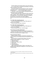<span id="page-12-0"></span>The first method uses Pull-Down Menus and is the easiest to use. You don't have to remember any commands. Just use the menus presented on the screen.

The second method uses the keyboard to enter commands. Commands can be "+" commands (because each command is preceded with a "+ "). They use simple English words like "+" ROTATE". Or they can be (Control-I) commands which use mnemonics12 such as (Control-IGR).

The third method uses PRINT statements which execute from within a program. PRINT statements are for experienced users and programmers. A list of the PRINT statements is available in the Summary of Commands at the end of Chapter 4. But first, let's see how you turn the PRO-GRAPPLER on and off.

# **TO TURN PRO-GRAPPLER ON.**

If you are using Applesoft BASIC, type: PR#1 after the "]" prompt, then hit (Return).

If you are using CP/M, enter: (Control-P).

# **TO TURN PRO-GRAPPLER Off.**

If you are using Applesoft BASIC, type: PR#0 after the "]" prompt, then hit (Return).

If you are using CP/M, enter: (Control-P) again.

# **Controlling the PRO-GRAPPLER**

The use of Pull-Down Menus and (Control-I) commands are explained in this section. Once you are familiar with their use, you can use the commands listed in Chapters 3 and 4.

## **Using Pull-Down Menus**

Pull-Down Menus are easy to use because commands are listed on-screen. No commands need to be remembered or even typed in.

The procedure for using Pull-Down Menus is the same whether you use a keyboard or a mouse. These are:

- 1. Open the Menu Bar
- 2. Pull down a menu
- 3. Select an item within a menu
- 4. Set the item
- 5. Close the menu
- 6. Close the Menu Bar.

Table 2 shows the procedure to follow in more detail. The procedure when dealing with a Dialog Box 13 is the same as for a Pull-Down Menu.

12 Mnemonics use only one or two letters to represent a function and can be rather cryptic sometimes.

13 A Dialog Box is opened when there are more selections to make under a given menu item.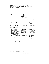**NOTE:** To use a mouse, you must have the following: an enhanced Apple IIe14 or an Apple IIGS15. The Apple II+ does not support a mouse interface.

# **Pull-Down Menu Procedure**

| <b>Action</b><br>1) To Open Menu Bar                                                                                             | <b>Using Keyboard</b><br>Type PR#1<br>Then type<br>+ MENU<br>Then hit (Return) | <b>Using Mouse</b>                                                         |
|----------------------------------------------------------------------------------------------------------------------------------|--------------------------------------------------------------------------------|----------------------------------------------------------------------------|
| 2) To Select a Menu<br>3) To Pull Down a Menu                                                                                    | Use Arrow Keys16<br>Hit (Return)                                               | Point Mouse<br>Click and Hold<br><b>Button</b>                             |
| 4) To Choose a Menu Item                                                                                                         | Use Arrow Keys                                                                 | Drag Mouse To<br>Selection                                                 |
| 5) To Set a Menu Item                                                                                                            | Hit (Return) Key                                                               | <b>Release Button</b>                                                      |
| If a Dialog Box opens:                                                                                                           |                                                                                |                                                                            |
| (a) To Select Item<br>(b)To Open item<br>(c) To Enter Response<br>(d) To Set Response<br>(e)Repeat (a) through<br>(d) as needed. | Use Arrow Keys<br>Hit (Return)<br>Use Keyboard<br>Hit (Return) Key             | <b>Point Mouse</b><br>Key Click Button<br>Use Keyboard<br>Hit (Return) Key |
| (f) To Close Dialog Box                                                                                                          | High (ESC) Key                                                                 | Click Button on<br>"OK" Box                                                |
| 6) To Close Pull-Down<br>Menu                                                                                                    | Hit (ESC) key                                                                  | (this happens<br>automatically)                                            |
| 7) Repeat steps 1) through<br>8) To Close Menu Bar                                                                               | 6) as needed.<br>Hit (ESC) Key                                                 | Select 'Quit' from<br>File Menu                                            |

# **Table 2. Procedure for Using the Pull-Down Menus**

14 The Apple lie requires an extended 80 column card.

15 The Apple IIGS comes with built-in 80 column capability, and a mouse.

16 Alternatively, you can enter (Shift-n), where "n" is the number in trust of the menu tam.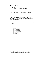# <span id="page-14-0"></span>**What You Will See**

## **The Menu Bar**

When the Menu Bar opens, it looks like this:

1. 2. File 3. Format 4, Size 5. Style 6. Graphics

When one of these items is selected, that item will be high lighted and a Pull-Down Menu appears. Select the desired menu using the arrow keys.17

# A **Pull-Down Menu**18

A **Pull-Down Menu** looks like this (the File Menu is used as an example):



When an item is selected, a "check mark"  $(\sqrt{})$  appears next to that item. Some items may have check marks at the same time, while others are mutually exclusive (only one item or the other).

**NOTE:** Three dots (...) are used to indicate that **a Dialog Box**  will appear when selected, providing further selections.

<sup>17</sup> You may also select a menu by entering (Shift-n), where "n" is the number in front of the desired menu.

<sup>18</sup> You get this by sitting (Return) or by clicking the mouse while highlighting a Menu. You may also select a menu item by entering (Shift-n), where n is the number in front of the desired item.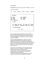# <span id="page-15-0"></span>**A Dialog Box**

**A Dialog Box** looks like this (we use the Set **Values...** item from

the previous example):

1. 3. File 3. Format 4. Size 5. Style 6. Graphics

| Set Values                                                                                      |                                                                                           |
|-------------------------------------------------------------------------------------------------|-------------------------------------------------------------------------------------------|
| $\square$ 1. Bell<br>口 3. BitB<br>$\square$ 5. Hold<br>D <sub>7</sub> Transparent<br>$8$ Color= | D <sub>2</sub> Linefeed<br>D <sub>4</sub> Printer<br>$\square$ 6. Video                   |
|                                                                                                 | □ 0. Black □ 1. Red □ 2. Blue □ 3. Purple<br>□ 4 Yellow □ 5. Orange □ 6. Green □ 7. White |
| 9. Control Character                                                                            |                                                                                           |
|                                                                                                 | 1. $\Box$ 2. Y                                                                            |
|                                                                                                 |                                                                                           |

When a Dialog Box appears, the Pull-Down menu is hidden from view. The name of the Dialog Box is indicated on the top left side of the Dialog Box. The Pull-Down Menu name in the Menu Bar remains highlighted. A "check mark" is also used to indicate which item is selected.

**Using the PRO-GRAPPLER as** a **Desk Accessory** Since the PRO-GRAPPLER has the ability to function as an Apple IIGS Desk Accessory, it provides one of the PRO-GRAP-PLER'S most useful and unique features: **Screen Shot. Screen Shot** is a very powerful feature which allows you to print (dump) whatever is on your screen without having to exit your program! Here's how to do it:

1.Enter "PR#1", then hit (Return). This must be done at some point after you turn on your computer. It is suggested that you make this a part of your normal start-up routine. 2.Enter (Control-  $\ddot{\mathbb{C}}$ -ESC). This brings up the Apple Desk Accessories Menu. You should see the file named PRO-GRAPPLER as one of the files listed. 3.Select PRO-GRAPPLER with the up/down arrow keys (then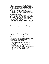- <span id="page-16-0"></span>4.You may now activate any of the PRO-GRAPPLER features from this menu, such as formatting and printing your screen.
- 5.To get back to your original program, first select Quit from the File Menu. This brings you back to the Desk Accessories Menu.
- 6.Now select Quit from the Desk Accessories Menu. This restores the screen you had previously You are now back to your original screen just prior to the Desk Accessories Menu.

# **Using Keyboard Commands**

There are two types of keyboard commands: "+" commands, and (Control-I) commands. These commands can be viewed by pulling down the" "menu in the Menu Bar, then selecting 'PRO-GRAPPLER Commands". They are also listed in Chapter 4- PRO-GRAPPLER COMMANDS.

The '"+" commands use simple English words to represent the various features available from the Pull-Down Menu. These are much easier to remember than the (Control-I) commands which are abbreviated.

The (Control-I) commands are provided to maintain total compatibility with software using the existing Grappler + commands. They are faster to use (when you are familiar with them), and

most programmers actually prefer them over typing out the full name of a "+" command.

There is an equivalent (Control-I) command for every '"+" command. You can use either or both types of commands at any time you wish. The choice is yours.

# **Using "+" Commands**

A ' +" command always begins with a ' +"in front of an

English-like word (such as  $\pm$  ITALIC"), and ends with a space, comma, or carriage return. The space, comma, or carriage return following the "-i-" command is part of the command. They are not sent to the printer.

To activate a command, enter the command as shown. To deactivate a command, precede the command with an 'X".

There are three types of commands:

1.Commands requiring a number (n) to be entered, as in  $"+$  LEFT =  $n$ ".

When you see an "n" after a command, you must enter a number appropriate for that command.

Example: The command " $+$  LEFT = n" requires a number to be entered for the number of spaces of the left margin. The actual entry for a left margin of 6 spaces would be: "+ LEFT=6"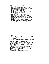<span id="page-17-0"></span>2. Commands requiring a string (T\$) to be entered, as in  $H$ +TITLE =T\$.

When you see a "T\$" after a command, you must enter a string" appropriate for that command. A 'string" is any series of characters, such as a title or heading.

Example: The command "+ TITLE T\$" requires a string to be entered for the title. To have the title "Chapter 1" appear at the top of all pages, the actual entry would be: " $\pm$  TITLE = Chapter 1".

3. Commands using options, such as "+GRAPH,COLOR", where GRAPH is the command and COLOR is the option. Any number of options may be linked together at one time > a comma in front of each option (called "command delimiters") separates them.

Example: The command "+ GRAPH" has options which may be entered. There are several options available, such as ",COLOR" or ", PITCH n". If you wanted to print in color; the entry would be: "+ GRAPH,COLOR". If you wanted to set an Aspect Ratio of 3 (described in Chapter 4), the entry would be:  $' \pm$  PITCH 3". If you want to enter both commands at once, the entry would be: "+ GRAPH,COLOR,PITCH = 3".

# **Using Control Commands**

A (Control-I) is used for Applesoft, Integer BASIC, ProDos, ProDos 16, DOS 3.3, or PASCAL 1.1, A (Control-Y) followed by a "function-specific" mnemonic is used for PASCAL 1.0 or CP/M.

**NOTE:** We assume the use of (Control-I) commands throughout this manual. Be sure to substitute "Y" for "I" if you are using PASCAL 1.0 or CP/M.

Enter (Control-I) commands by the following simple procedure: 1. While holding down the (Control) key, type the letter "I", then release the (Control) key. This is what is meant by (Control-I).19

2. Now type whatever follows the "I", such as 'G" for graphics.

# **Stringing (Control-IG) Commands Together**

Several (Control-IG) commands may be executed with a single command by adding on the "function-specific" part of each command to the first command. Only graphics commands may be strung together.

Example: To print an inverted and rotated color image, the entry looks like this: (Control-IGCIR), where "IG" activates the graphics mode, "C" prints a color image, "I" inverts the image, and "R" rotates the image.

19 If you see (Control  $\Box$ ). hit the " $\Box$ " key instead of the "I", and so on.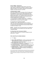# **Using 'PRINT" Statements**

The use of PRINT statements usually requires some knowledge of BASIC programming. Therefore no attempt is made to explain the details. A list of PRINT statements are provided in Chapter 4 for those who wish to use them.

# **TRANSPARENT MODE**

If you have a program (such as Wordstar CP/M, PFS Write, and PFS Graph)which uses the same control codes as the PRO-GRAPPLER, you need to make the PRO-GRAPPLER trans- parent to that program. The Transparent Mode causes the PRO-GRAPPLER to pass all commands on to the printer just like a standard parallel printer controller would.

You can activate the Transparent Mode with a "+" command or a Control code.20 It remains in effect until you turn the PRO-GRAPPLER off, or until you reset the computer.

# **To activate the Transparent Mode**

Type PR#1, enter "+ZAP" or (Control-IT), then hit (Return). This causes the PRO-GRAPPLER to ignore all subsequent control codes until the PRO-GRAPPLER is turned off with a PR#O, or when the computer is reset.

**NOTE:** Characters sent to the printer either from a program or from the keyboard, are not echoed to the screen when in the Transparent Mode.

# **To de-activate the Transparent Mode:**

Type PR#O, then hit (Return), or reset the computer by entering (Control-C -Reset).

# <span id="page-18-0"></span>**PRO-GRAPPLER SCREEN MENUS**

# 1. "  $\circlearrowleft$  " Menu

- **1. About PRO-GRAPPLER**  Provides a brief description of the PRO-GRAPPLER, and displays the copyright notice and PRO-GRAPPLER Version # on screen.
- 2.**PRO-GRAPPLER Commands**  Displays all (Control-I) and "+" commands on the screen for quick reference.
- 3. **DIP Switch Settings**  Displays all DIP switch settings for all supported printers, along with the Transparent Mode setting.
- 4. **Troubleshooting**  Displays common incompatibilities between certain combinations of hardware and software and methods of resolving them.

20 You can also activate the Transparent Mode by setting the DIP switches according to the settings indicated in Table 1 under Transparent Mode. To deactivate the Transparent Mode using the DIP switch, first turn power OFF Then remove the PRO-GRAPPLER board and set the switch positions according to the settings indicated for your printer, then reset the computer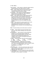# **2."File" Menu**

- **1.Set Values...** When selected, a Dialog Box appears with the following selections (each affect the file as a whole):
- **1.Bell**  When selected, allows the printer bell (or buzzer) to ring, indicating a problem (such as "paper out"). When unselected, prevents the bell from ringing.
- **2.Linefeed**  When selected, automatically appends a linefeed after every carriage return. When unselected, linefeed must be generated by software.
- **3.Bit8**  When selected, allows the eighth (high order) bit to be sent to the printer. When unselected, prevents the eighth bit from being sent to the printer. Some printers use the eighth bit to set an alternate character set for special print formatting such as italics and block graphics. The standard character set may not be available when Bit8 is selected.
- 4. **Hold**  When selected, the values entered in the Format, Style, and Size Menus are held (or "fixed") and are automatically set the next time you turn on your PRO-GRAPPLER. When unselected, the normal (default) values are used.

**Note:** All special settings are lost when power is turned off

- **5. Video**  When selected, text sent to the printer is also sent to the screen. When unselected, text is only sent to the printer.
- **6.Transparent**  When selected, the PRO-GRAPPLER operates as a normal ('dumb") printer controller and forwards all print commands directly to the printer. When unselected, the PRO-GRAPPLER operates as an "intelligent" printer controller and interprets all (Control-I) commands to the printer.
- <span id="page-19-0"></span>**7. Color** — Selects the ribbon color to be used for printing:
	- **0** . Black **1** . Red **2** . Blue **3.** Purple
	- **4.** Yellow **5.** Orange **6.** Green
- **8.Control Character**  Selects the control character recognized by the PRO-GRAPPLER for print commands. Use "I" when using Applesoft BASIC, DOS 3.3, ProDos, ProDos 16, PASCAL 1.1, or Integer BASIC. Use "Y" when using PASCAL 1.0, or CP/M. 1.1 2.Y
- **2.Text Dump 80**  Prints from an 80 column wide screen (for Apple lie systems using an Apple 80 column board, or for an Apple IIGS in 80 column mode).
- **3. Text Dump 40** Prints from standard 40 column wide screen.
- 4. **Text Dump 1 & 2** —Prints two 40 column text pages side-byside (page 1 on the left, page 2 on the right).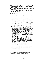- <span id="page-20-1"></span>**5.Form Feed** — Sends a "top-of-form" command to the printer each time this command is issued. This advances the paper to the next page.
- **6.Print Test**  Prints the standard Alpha-Numeric character set in its entirety.
- **7.Quit**  Returns you to where you were in the program just prior to calling the Menu Bar.

# **3. Format" Menu**

- **1. Page Set-up.. .**A Dialog Box appears with the following selections:
	- **1. Left Margin = The Sets the left margin, as** measured from the left edge of the paper. User may enter any number desired (within range of the printer).
	- **2.Right Margin** = \_\_\_\_\_\_\_\_\_\_ Sets the right margin to the number of spaces entered here, as measured from the left edge of the paper. A carriage return is generated at the first space after the right margin setting, but before the end of the line if set by the Line Length command. This helps to prevents words from being split (this is often called 'wordwrap"). A value of "0" disables this command.
	- **3.Line Length** = \_\_\_\_\_\_\_\_\_\_ Sets the length of a line, as **measured** in characters from the left edge of the paper (not the left margin). A carriage return is generated after the last character or space of the line as specified (except when a Right Margin is set — see Right Margin preceding). Text is not echoed to the screen during printing when this command is selected. Line Length should be selected before Right Margin. A value of "0" disables the carriage return. The carriage return must be provided by your Apple program.<br>4. Page Length
	- **Sets the number of lines** between the Title and Footer lines. The printer generates six (6) line feeds after the last line printed (or after the Footer line, if used). This allows the perforation between pages to be automatically skipped if the number of lines is set properly21 A value of "0" disables the automatic six line feeds.
		- **5. Lines/Inch** = \_\_\_\_\_\_\_\_\_\_ Sets the number of lines per inch according to the following selections: **1** .6 **2** .8

<span id="page-20-0"></span>**NOTE:** If you select 8 lines/inch, you must a/so select the proper page length if you want the printer to skip the perforation for each page.

<sup>21</sup> The Page Length Should be 60 if no Title or Footer is used; 59 if a Title or Footer,is used; and 58 it both are used. This will maintain proper page positioning or 8 1/2' it paper.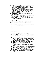- 2. **Set Titles... A** Dialog Box appears providing a space to type in a title you want printed at the top of every page (like a running header). The Title is the first line printed on the page. It is limited to one line of 50 characters.
- 3**. Set Footers.** . . A Dialog Box appears providing a space to type in a footer you want printed at the bottom of every page. The Footer is the last line printed on the page. It is limited to one line of 50 characters.
- 4. **Page Numbers...** A Dialog Box appears providing the following selections:
	- 1. **Page Numbering On**  When on, prints the page number (numeric only) at the right margin on the Footer line.
	- 2. **Start From** # \_\_\_\_\_\_\_\_\_\_ Prints page numbers starting with the indicated number

# **4.'Size" Menu**

The following commands provide a selection of text sizes to be printed. These sizes vary according to the printer you use.

- **1. Expanded**  The text size you selected is horizontally elongated by a factor of two.
- **2.**
- **3.**
- **4.** (Pitches vary according to your printer)
- **5**.
- **6.**

# **5."Style" Menu**

- **1. Draft**  This allows printing draft copies faster.
- **2. Double-Strike**  The printer emphasizes text by printing each line twice (two separate passes). This creates a Bold look.
- **3. Emphasized** —The printer emphasizes text by striking each dot twice during a single pass. The second dot is slightly offset from the first dot, creating a Bold look to the text. This is usually the preferred way of creating Bold text.
- **4. NLQ**  Text is printed using Near Letter Quality" printing.
- **5**. **Headline**  Text is printed using Expanded and Emphasized

 features. This is useful for headlines and other unique text applications.

- **6.** Proportional Text is printed with a proportional style type.
- **7. Underline**  Each character is underlined when printed.
- **8. Italic**  Each character is italicized when printed.
- **9. Sub-Script** Each character is sub-scripted when printed.
- **1 0**. **Super-Script**  Each character is super-scripted when printed.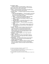# <span id="page-22-0"></span>**6."Graphic" Menu**

Provides selections for printing graphics. Unlike text commands, which remain in effect until cancelled, you must select options each time you want a screen dump.

- 1. **Print** Causes the printer to start printing the graphics you currently have in the Hi-Res screen memory.
- 2. **Screen Type...** A Dialog Box appears providing the following selections:
	- 1. **Mix Text and Graphics**22 Prints the graphics screen plus the tour-line text window beneath it. The printing begins 20 spaces from the left edge of the paper.
	- 2. **Page** 1 Prints the Hi-Res graphics image from Page 1. Each white screen dot is printed with a black dot.
	- 3. **Page** 2 Prints the Hi-Res graphics image from Page 2 instead of Page 1.
	- 4. **Side-By-Side**23 Prints both Hi-Res graphics images (Page 1 on the left, Page 2 on the right).
	- 5. **Double Hi-Res**24 Prints the Double Hi-Res graphics image.
	- 6. **Super Hi-Res**  Prints a graphics image using the 320 x 200 or 640 x 200 dot screen memory. Only available from the Apple IIGS
- 3. **Invert**  Prints the "inverse" image as seen on the screen. Normally, white dots on the screen print as black dots on paper. This results in an image which looks like a photographic negative. The Invert command produces an image much like a photograph, where the black portions on the screen print as black on paper.
- 4. **Rotate**25 Prints the graphic screen image rotated 90 degrees clockwise.
- 5. **Color**  When selected, prints a color graphics image as defined by the colors in the image itself. When unselected, prints in black and white.
- 6. **Hi-Density**  The printer double-strikes each dot during a single printing pass, and prints in only one direction (this provides a high-quality image).
- 7. **Aspect Ratio**26.**..** A Dialog Box appears providing a selection from 1 to 6. Only the Epson FX, RX, and LX series printers provide this feature. Consult your Epson manual for details on the ratio's.
- 22 Cannot be used with Rotate, Double-Size, or Left Margin options.
- 23 Cannot be used with Rotate or Double-Size options.
- 24 Thin is a special Apple lIe Rev B or later option It is not available with Apple It or II **+.**  Cannot be uses with Rotate or Double e-Size options.
- 25 Only Hi-Res graphics can be rotated. Teat cannot be rotated.
- 26 The Aspect Ratio is a measurement of the width of an image relative to the height of that image.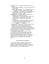- **8. Page Position..**. A Dialog Box appears providing a choice of positions:
	- **1. Center: Narrow Carriage**  Prints the image centered on a 8 1/2" carriage.
	- **2. Center: Wide Carriage** Prints the image centered on a 14" carriage. Be sure your printer has a wide carriage.
	- **3.** Left Margin When selected, prints image using the Left Margin set in the Format menu. When unselected, prints image centered on an 8 1/2" carriage.
- **9. Enlargement...** A Dialog Box appears providing a choice of enlargements of the printed screen image:
	- **1. Double Size**  Prints the image with four dots for every screen dot (two in the vertical direction and two in the horizontal direction). This results in an image twice the normal size.
	- **2. Custom Size** Prints the image using X" dots for each screen dot in the horizontal direction (XMAG), and "Y" dots for each screen dot in the vertical direction (YMAG):
		- **1. XMAG** \_\_\_\_ **2. YMAG** \_\_\_\_
- **10. Window Set**  Allows you to print a portion of your image by setting a window over the part you want printed. When selected, your screen image is displayed temporarily with a small box located near the top left corner of the screen. The

First, position the box with the arrow keys (or drag with the mouse) such that the top left corner of this box aligns with the top left corner of the desired window. Then hit (Return) to set this position (or click the button if using a mouse).

 Next, position the lower right corner of the box such that it aligns with the lower right corner of the desired window. Again, use the arrow keys (or drag with the mouse). You now see a window which contains the image you will print. Then hit (Return) to set this position (or click using a mouse). If you want to make changes at this point, repeat step 10 until you are satisfied, then print.

# **PRO-GRAPPLER COMMANDS**

Menu name's are listed, along with the equivalent "+" command, (Control-I) command, and PRINT statement. A brief description of each command is also provided, If you need more detail about a particular command, please refer to the description provided in Chapter 3 — PRO-GRAPPLER Menus.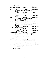<span id="page-24-0"></span>

| <b>General Commands</b><br>"+"<br><b>PRINT</b> |                                                                      |                                                                                                                                                    |                         |  |
|------------------------------------------------|----------------------------------------------------------------------|----------------------------------------------------------------------------------------------------------------------------------------------------|-------------------------|--|
|                                                | <b>Menu Name Command</b>                                             | (Control-I)                                                                                                                                        | Statement <sub>27</sub> |  |
| <b>Bell</b>                                    | $+$ BELL<br>the printer                                              | (CONTROL-IB)<br>Allows Bell (Control-C) command to be sent to                                                                                      | ? CHR\$(9);"B"          |  |
|                                                | $+ XBEL$<br>Cancels the Bell command.                                | (Control-IC)                                                                                                                                       | ? CHR\$(9); "C"         |  |
| Bit8                                           | $+ BIT8$                                                             | Control-IH)<br>Allows Bit 8 to be sent to the printer                                                                                              | ? CHR\$(9);"H"          |  |
|                                                | +XBIT8<br>Cancels Bit 8.                                             | (Control-IX)                                                                                                                                       | ? CHR\$(9);"X"          |  |
| <b>Printer</b>                                 | $+$ EXIT                                                             | (Control-le)<br>Turns printer port off and restores normal screen                                                                                  | ? CHRS(9);"e"           |  |
|                                                | restored as an output device.                                        | output. It an 80 column card was initialized, it is                                                                                                |                         |  |
| <b>Hold</b>                                    | + HOLD<br>printer port.                                              | (Control-IFA)<br>Retains current values during initialization of                                                                                   | ? CHR\$(9);"FA"         |  |
|                                                | +XHOLD<br>printer port.                                              | (Control-IQA)<br>Restores to default values upon initialization of                                                                                 | ? CHR\$(9);"OA"         |  |
| Video                                          | $+$ MENU                                                             | (Control-IFM)                                                                                                                                      | ? CHR\$(9);"FM"         |  |
|                                                | Displays the Menu Bar<br>+ VIDEO                                     | (Control-II)                                                                                                                                       | ? CHR\$(9);"I"          |  |
|                                                | Echo's printer output to screen.<br>+VIDEO<br>Cancel's printer echo. | (Control-IOV)                                                                                                                                      | ? CHR\$(9);'Qv"         |  |
| <b>Transparent +ZAP</b>                        |                                                                      | (Control-IT)<br>Instructs PRO-GRAPPLER to ignore all further (Control-I)                                                                           | ? CHR\$(9);"T"          |  |
|                                                | printer                                                              | commands until re-initialized. This is the 'Transparent" mode.<br>List Commands + COMMAND (Control-IFC)<br>Prints all PRO-GRAPPLER commands to the | ? CHR\$(9);"FC"         |  |
| <b>List DIP</b><br>Switch's                    | + DIP<br>Transparent Mode.                                           | (Control-IFO)<br>Prints all DIP Switch settings for all supported printers, and for the                                                            | ? CHR\$(9);"FD"         |  |
| Trouble-<br>shooting                           | +TROUBLE                                                             | (Control-IFT)                                                                                                                                      | ? CHR\$(9);"FT"         |  |
| <b>Print Test</b>                              | $+TEST$<br>iliar to Printer Self-Test.                               | Prints Troubleshooting information to the printer<br>(Control-IFS)<br>Prints the entire alpha-numeric character set. Sim-                          | ? CHR\$(9);"FS"         |  |

27 A "?" is used in place of "PRINT".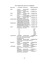# **TEXT FORMATTING AND STYLE COMMANDS**

<span id="page-25-0"></span>

| <b>Menu Item</b>   | "+" Command (Control-I)                 |                                                                                | <b>PRINT Statement</b>        |
|--------------------|-----------------------------------------|--------------------------------------------------------------------------------|-------------------------------|
| <b>Italic</b>      | +ITALIC<br>Puts printer in Italic mode. | (Control-IWI)                                                                  | ? CHR\$(9);"WI"               |
|                    | +XITALIC<br>Cancels Italic command.     | (Control-IQI)                                                                  | ? CHR\$(9);"QI"               |
| <b>Draft</b>       | +DRAFT<br>Puts printer in Draft mode.   | (Control-I WD)                                                                 | ? CHR\$(9);'WD'               |
| <b>NLO</b>         | $+ NLO$                                 | (Control-IWN)                                                                  | ? CHR\$(9);"WN"               |
|                    |                                         | Puts printer in Near Letter Quality mode.                                      |                               |
|                    | $+XNLQ$<br>Cancels NLQ command.         | (Contml-IQN)                                                                   | ? CHR\$(9);"ON'               |
|                    | Double-Strike + DBLSTRIKE (Control-IWI) |                                                                                | ? CHR\$(9);"WL"               |
|                    |                                         | Puts printer in Double-Strike mode.                                            |                               |
|                    |                                         | +XDBLSTRIKE (Control-IQL)                                                      | ? CHR\$(9);"QL'               |
|                    | Cancels Double-Strike command.          |                                                                                |                               |
| <b>Emphasized</b>  |                                         | + EMPHASIZED (Control-IWE)                                                     | ? CHR\$(9);"WE"               |
|                    |                                         | Puts printer in Emphasized mode.<br>+XEMPHASIZED (Control-IQE) ? CHR\$(9);"QE" |                               |
|                    | Cancels Emphasized command.             |                                                                                |                               |
| Color              |                                         | $+$ COLOR = n (Control-InMC)                                                   | ? CHR\$(9);'nMC"              |
|                    | Sets the ribbon color where:            |                                                                                |                               |
|                    | $n = 0$                                 |                                                                                | <b>Black</b>                  |
|                    | $n = 1$                                 |                                                                                | Red                           |
|                    | $n = 2$                                 |                                                                                | <b>Blue</b>                   |
|                    | $n = 3$                                 |                                                                                | Purple                        |
|                    | $n = 4$                                 |                                                                                | Yellow                        |
|                    | $n = 5$                                 |                                                                                | Orange                        |
|                    | $n = 6$                                 |                                                                                | Green                         |
| <b>Custom Font</b> | + CUSTOM                                | (Control-IFO) ? CHR\$(9);'FO"                                                  |                               |
|                    |                                         | Prints using a custom font which is downloaded                                 |                               |
|                    |                                         | to the printer. Not all printers support                                       |                               |
|                    | downloadable fonts.                     |                                                                                |                               |
|                    | +XCUSTOM                                |                                                                                | (Control-IQO) ? CHR\$(9);"QO" |
|                    |                                         | Cancels Custom Font command. Restores to                                       |                               |
| <b>Headline</b>    | normal printing.<br>$+HEAD$             | (Control-IWH)                                                                  | ? CHR\$(9);'WH'               |
|                    | Puts the printer into Headline          |                                                                                | mode.                         |
|                    | +XHEAD                                  | (Control-IQH)                                                                  | ? CHR\$(9);"OH"               |
|                    |                                         | Cancels Headline command.                                                      |                               |
| <b>Left Margin</b> | $+LEFT=n$                               | (Control-InL)                                                                  | ? CHR\$(9);'nL'               |
|                    |                                         | Sets left margin to "n" spaces from left edge of                               |                               |
|                    | paper                                   |                                                                                |                               |
|                    | + LINFEED                               | (Control-IA)                                                                   | ? CHR\$(9);'A"                |
|                    |                                         | Appends a Line Feed to each Carriage Return.                                   |                               |
|                    | +XLINFEED<br>Cancels Line Feed command. | (Control-IK)                                                                   | ? CHR\$(9);"K"                |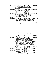|                            | Line Length + LINELEN - n (Control-InN) ? CHR\$(9);"nN" |                               |                                 |
|----------------------------|---------------------------------------------------------|-------------------------------|---------------------------------|
|                            | Sets Line Length to 'n" characters ( $n = 0$ to 255)    |                               |                                 |
|                            | with a Carriage Return. A value of 0" disables          |                               |                                 |
|                            | line formatting.                                        |                               |                                 |
| Lines/Inch                 | $+$ LINES = n                                           |                               | (Control-InMI) ? CHR\$(9);"nML' |
|                            | Sets the number of lines per inch, where:               |                               |                                 |
|                            | $n = 6$                                                 | Six lines/inch                |                                 |
|                            | $n = 8$                                                 | Eight lines/inch              |                                 |
|                            | Page Length + PAGELEN n (Cantrol-InP) ? CHR\$(9);"nP"   |                               |                                 |
|                            | Sets the page length to "if' lines. Six carriage        |                               |                                 |
|                            | returns are generated after "n 'lines are printed. A    |                               |                                 |
|                            | value of "0" disables this command.                     |                               |                                 |
| Page                       |                                                         |                               |                                 |
| Numbering                  | +PAGE# n                                                |                               | (Control-InMG) ? CHR\$(9);"nMG" |
|                            | Prints the page number at the bottom right corner       |                               |                                 |
|                            | of each page, where "n" is the initial page number      |                               |                                 |
|                            | desired (n 0 to 9999).                                  |                               |                                 |
|                            | +XPAGE#                                                 |                               | (Control-IQG) ? CHR\$(9);"QG"   |
|                            | Cancels Page Number command.                            |                               |                                 |
| <b>Expanded</b>            | + PITCH = n                                             |                               | (Control-InMP) ? CHR\$(9);"nMP" |
|                            | Sets printer pitch (characters per inch) to "n",        |                               |                                 |
|                            | where:                                                  |                               |                                 |
|                            | $n = 1$                                                 | Pica                          |                                 |
|                            | $n = 2$                                                 | Elite                         |                                 |
|                            | $n = 3$                                                 | Condensed                     |                                 |
|                            | $n = 4$                                                 | <b>Extended Pica</b>          |                                 |
|                            | $n = 5$                                                 | <b>Extended Elite</b>         |                                 |
|                            | $n = 6$                                                 | <b>Extended Condensed</b>     |                                 |
| Proportional +PROP         |                                                         |                               | (Control-IWR) ? CHR\$(9);"WR"   |
|                            | Sets printer to Proportional mode. Not all printers     |                               |                                 |
|                            | support this mode.                                      |                               |                                 |
|                            | +XPROP                                                  |                               | (Control-IQR) ? CHR\$(9);"OR"   |
|                            | Cancels Proportional command.                           |                               |                                 |
| Right Margin $+$ RIGHT = n |                                                         | (Control-InR) ? CHR\$(9);"nR' |                                 |
|                            | Sets the right margin to "n" characters by              |                               |                                 |
|                            | generating a Carriage Return after the first space      |                               |                                 |
|                            | following 'n" characters. Same as Word Wrap.            |                               |                                 |
|                            | Text Dump 40 + SCREEN (Control-IS) ? CHR\$(9);"S"       |                               |                                 |
|                            | Prints the current 40 column screen to the printer      |                               |                                 |
|                            | Position is 20 spaces from the left edge of the         |                               |                                 |
|                            | paper Not compatible with 80 column text display        |                               |                                 |
|                            | boards.                                                 |                               |                                 |
| Text Dump 80 + TEXT8O      |                                                         | (Control-18S)                 | ? CHR\$(9);"8S"                 |
|                            | Prints an 80 column screen to the printer               |                               |                                 |
| <b>Subscript</b>           | +SUB<br>Sets printer to Subscript mode.                 | (Control-IWB)                 | ? CHR\$(9);"WB"                 |
|                            | $+$ SUP                                                 |                               | ? CHR\$(9);"WP"                 |
| <b>Superscrip</b>          |                                                         | (Control-IWP)                 |                                 |
|                            | Sets printer to Superscript mode.<br>+XSCRIPT           | (Control-IQS)                 | ? CHR\$(9);"QS"                 |
|                            | Cancels both Subscript and Superscript                  |                               |                                 |
|                            | commands.                                               |                               |                                 |
|                            |                                                         |                               |                                 |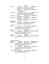<span id="page-27-0"></span>

|                          |             |                                          | (Control-                                           |                                               |
|--------------------------|-------------|------------------------------------------|-----------------------------------------------------|-----------------------------------------------|
| <b>Set Title</b>         |             | $+$ TITLE T\$                            | IYTT\$                                              | ? CHR\$(9);"YT T\$'                           |
|                          |             |                                          | Prints a double-sized string of characters (up to   |                                               |
|                          |             |                                          | 50 characters for "T\$') at the top of each page.   |                                               |
|                          |             | +XTITLE                                  |                                                     | (Control-IQT) ? CHR\$(9);"QT"                 |
|                          |             | Cancels Title command.                   |                                                     |                                               |
|                          |             | (Control-                                |                                                     |                                               |
| <b>Set Footers</b>       |             |                                          |                                                     | $+$ FOOTER = T\$ IYF T\$) ? CHR\$(9);"YF T\$" |
|                          |             |                                          | Prints footer at bottom of each page (the last line |                                               |
|                          |             |                                          | printed after Page Length). Max. 50 characters.     |                                               |
| <b>Form Feed</b>         | +TOP        |                                          |                                                     | (Control-IFP) ? CHR\$(9);"FP"                 |
|                          |             | Sends a Form Feed to the printer         |                                                     |                                               |
| <b>Underline On</b>      |             | + UNDER                                  |                                                     | Control-I WU) ? CHR\$(9); WU"                 |
|                          |             | Sets printer to Underline mode.          |                                                     |                                               |
|                          |             | +XUNDER<br>Cancels Underline command.    |                                                     | (Control-IQU) ? CHR\$(9);"QU"                 |
| <b>About PRO-</b>        |             |                                          |                                                     |                                               |
| <b>GRAPPLER</b>          |             |                                          |                                                     | +VERSION (Control-IV) ? CHR\$(9);"V"          |
|                          |             |                                          | Prints version of PRO-GRAPPLER ROM to the           |                                               |
|                          |             |                                          | printer This is not echoed to the screen.           |                                               |
| <b>Text Dump</b>         |             |                                          |                                                     |                                               |
| 1 & 2                    |             | $+$ PAGE12                               |                                                     | (Control-12S) ? CHR\$(9);"2S"                 |
|                          |             |                                          | Prints 40-column Text Pages 1 and 2 side by side    |                                               |
|                          |             |                                          | (Page 1 on the left, Page 2 on the right). Not      |                                               |
|                          |             |                                          | compatible with 80 column output boards.            |                                               |
| Control                  |             |                                          | (Control-I                                          |                                               |
| <b>Character</b>         |             | + CHANGE                                 |                                                     | (Control-Y) ? CHR\$(9);CHR\$(25);             |
|                          |             |                                          | Changes the Control character from "I" to 'Y".      |                                               |
|                          |             |                                          | Howe ver care should be taken to avoid using a      |                                               |
|                          |             | character already in use by your printer |                                                     |                                               |
| Control                  |             |                                          | (Control-Y                                          |                                               |
| Character                |             | <b>+XCHANGE</b>                          |                                                     | Control-I) ? CHR\$(25); CHR\$(9);             |
|                          |             |                                          | Changes the Control character from Y" back          |                                               |
|                          | to "l'.     |                                          |                                                     |                                               |
|                          |             |                                          |                                                     |                                               |
|                          |             |                                          |                                                     |                                               |
| <b>Graphics Commands</b> |             |                                          |                                                     |                                               |
| Menu Item                |             |                                          |                                                     | +" Command (Control-I) PRINT Statement        |
| Page 1                   |             | +GRAPH                                   | (Control-IG)                                        | ? CHR\$(9);"G"                                |
|                          |             |                                          | Prints Hi-Res graphics Page 1 to the printer Addi-  |                                               |
|                          |             |                                          | tional commands which may follow it (using a        |                                               |
|                          |             | comma as the delimiter) include:         |                                                     |                                               |
| Color                    |             | ,COLOR                                   |                                                     | (Control-IGC) ? CHR\$(9);"GC"                 |
|                          |             |                                          | Prints a color image to the printer This option is  |                                               |
|                          |             |                                          | available for both Normal Hi-Res and Double Hi-     |                                               |
|                          | Res images. |                                          |                                                     |                                               |
| <b>Double Hi-Res</b>     |             | ,DBLRES                                  |                                                     | (Control-IGe) ? CHR\$(9);"Ge"                 |
|                          |             |                                          | Prints a Double Hi-Res image to the printer All     |                                               |
|                          |             | options are available in this mode.      |                                                     |                                               |
|                          |             |                                          |                                                     |                                               |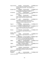|                                |             | Super Hi-Res SUPER (Control-IGA) ? CHR\$(9);"GA"                                       |                  |
|--------------------------------|-------------|----------------------------------------------------------------------------------------|------------------|
|                                |             | Prints an image with a resolution of 320 x 200 or                                      |                  |
|                                | Apple IIGS. | 640x200 pixels to the printer . Only available on the                                  |                  |
| <b>Double Size</b>             |             | DOUBLE (Control-IGD) ? CHR\$(9);"GD"                                                   |                  |
|                                |             | Prints a double-size image to the printer Each dot                                     |                  |
|                                |             | is printed with four dots (XMAG 2, YMAG 2).                                            |                  |
| <b>Hi-Density</b>              |             | ,HI-O (Cantrol-IGE) ? CHR\$(9);"GE"                                                    |                  |
|                                |             | Prints an image using the printers' emphasized                                         |                  |
|                                | print mode. |                                                                                        |                  |
| Invert                         |             | INVERT (Control-IGI) ? CHR\$(9);"GI"<br>Prints a "positive" image of the screen to the |                  |
|                                |             | printer A black screen dot is printed as a black                                       |                  |
|                                | dot.        |                                                                                        |                  |
| <b>Left Margin</b>             |             | ,LEFT (Control-IGL) ? CHR\$(9);"GL"                                                    |                  |
|                                |             | Prints graphics using the left margin set in the                                       |                  |
|                                |             | "LEFT-n" command. When not set, prints image                                           |                  |
|                                |             | centered on a narrow carriage (same as for                                             |                  |
|                                | "+ GRAPH"). |                                                                                        |                  |
| Page 2                         |             | , PAGE2 (Control-1G2) ? CHR\$(9);"G2"                                                  |                  |
|                                |             | Prints the graphics image stored in Page 2.                                            |                  |
| <b>Aspect Ratio</b>            |             | $PITCH = n (Control~IG^*n)$ ? $CHR$(9)$; "G^*n"$                                       |                  |
|                                |             | Prints the graphics image with a width to height of                                    |                  |
|                                |             | "n" ( $n = 1$ to 6). Consult your Epson manual for                                     |                  |
|                                | details.    |                                                                                        |                  |
| Rotate                         |             | ,ROTATE (Control-IGR) ? CHR\$(9);"GR"<br>Prints a graphics image rotated 90 degrees    |                  |
|                                | clockwise.  |                                                                                        |                  |
| <b>Center: Wide</b>            |             |                                                                                        |                  |
| Carriage                       |             | ,WIDE (Control-IGG) ? CHR\$(9);"GG"                                                    |                  |
|                                |             | Prints a graphics image centered on a wide (14")                                       |                  |
|                                | carriage.   |                                                                                        |                  |
| <b>Window Set</b>              |             | , WINDOW = n (Control-IGWn) ? CHR\$(9);"GWn"                                           |                  |
|                                |             | Prints that portion of an image falling inside a box                                   |                  |
|                                |             | $(n = X1, X2, Y1, Y2)$ whose upper left coordinate is                                  |                  |
|                                |             | X1, Y1 and whose lower right coordinate is X2, Y2.                                     |                  |
| <b>XMAG</b>                    |             | ,XMAG = n (Control-IGXn) ? CHR\$(9);"GXn"                                              |                  |
|                                |             | Prints a graphics image magnified by "n" in the                                        |                  |
|                                |             | horizontal $(X)$ direction ( $n =$ integer from 1 to 6).                               |                  |
| <b>YMAG</b>                    |             | $YMAG = n (Control-IGYn)$                                                              | ? CHR\$(9);"GYn" |
|                                |             | Prints a graphics image magnified by "n" in the                                        |                  |
| Print Side-by-                 |             | vertical (Y) direction ( $n =$ integer from I to 6).                                   |                  |
| Side                           |             | , PAGE12 (Control-IGS)                                                                 | ? CHR\$(9);"GS"  |
|                                |             | Prints graphics images from Page 1 and Page 2                                          |                  |
|                                |             | side by side to the printer Cannot be used with                                        |                  |
| Rotate or Double-Size options. |             |                                                                                        |                  |
| Mix Text &                     |             |                                                                                        |                  |
| <b>Graphics</b>                | ,MIX        | (Control-IGM)                                                                          | ? CHR\$(9);"GM"  |
|                                |             | Prints the graphics image and the 4 line text                                          |                  |
| window to the printer          |             |                                                                                        |                  |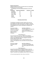# **Default Parameters**

Default parameters are those commands which are automatically set when you turn on your system.

 The following is a list of the default parameters as set by the factory:

| Command             | <b>Applesoft BASIC28</b> | <b>PASCAL &amp; CP/M</b> |
|---------------------|--------------------------|--------------------------|
| Left Margin         | Ø                        | Ø                        |
| <b>Right Margin</b> | Ø                        | Ø                        |
| Line Length         | Ø                        | Ø                        |
| Page Length         | Ø                        | Ø                        |
| Screen              | On                       | ∩ff                      |
| <b>Display</b>      | On                       | ∩ff                      |
| Line Feed           |                          |                          |

# **TROUBLESHOOTING**

The following is intended to provide a guide to the most common problems you might encounter when installing or using the PRO-GRAPPLER. Most of the problems you might encounter are incompatibilities due to certain combinations of hardware and software.

(Apple Computer then... Company)

# **If you are using... and the problem is...**

Appleworks version 1.0, An "80N" appears in the upper left 1.1, 1.2, 1.3, or Apple-<br>
writer Ile version 2.1<br>
Strange text formatting approximation Strange text formatting appears,

# **The Solution Is...**

<span id="page-29-0"></span>If you are using version 1.0 or 1.1, obtain a free upgrade to version 1.3 from your Apple dealer. Then enter the Interface Card section in the Appleworks menu and change the code from (Control-I 80N) to (Control-I ØN).

If you are using version 1.2 or 1.3, enter the Interface Card section in the Appleworks menu and follow the same procedure as above.

| If you are using   | and the problem is                  |
|--------------------|-------------------------------------|
| PFS: Write or PFS: | The printer prints garbage when     |
| Graph              | you merge a graph with a text file, |
|                    | then $\dots$                        |

# **The Solution Is...**

Set the PRO-GRAPPLER to Transparent mode (or enter the "P09,84" command in the PFS software). Then enter the name of your printer in place of "PRO-GRAPPLER'"using the "Print Options" command in the installation section of the PFS software.

28 This also includes Integer BASIC, ProDos, ProDos 16, and DOS3.3.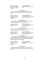Pro) with a Letter Qual-<br>
then... ity Printer

# **If you are using... and the problem is...**<br>Wordstar CP,"M (Micro-<br>You get garbage when you

You get garbage when you print,

# **The Solution Is...**

Set the Transparent mode in the PRO-GRAPPLER. Insert a (Control-IT) in the printer installation area of your program if it allows.

# **If you are using... and the problem is...**

Company)

MousePaint with Pro- You get garbage when printing a Dos(Apple Computer graphics picture, then...

# **The Solution Is...**

Obtain a patch program called "MousePrint" and instructions from AHWARE Software Company, Danville, CA.

# **If you are using... and the problem is...**

Line) ware hangs, then...

Homeward (Sierra On-<br>
You get no printing, or your soft-

# **The Solution Is...**

Change the selection from PRO-GRAPPLER to "Other" in the installation program of Homeward Sierra On-Line.

# **If you are using... and the problem is...**

Dollars and Sense Graphics cannot be printed from (Monogram Software) within the program, then,

# **The Solution Is...**

First exit the program to the Operating System level. Then boot up "System Master 3.3" and load the Dollars and Sense graphics diskette. Then use the PRO-GRAPPLER "BLOAD" command described in Appendix B of this manual.

# **If you are using... and the problem is...**

Version 1.0 or 1.1 dump, then,... (VisiCorp)

VisiPlot or VisiTrend, The program will not do a screen

# **The Solution Is...**

First, save your graphics to a data disk. Then use the PRO-GRAPPLER 'BLOAD" command described in Appendix B of this manual.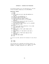# **APPENDIX A** — **RUNNING TEST PROGRAMS**

<span id="page-31-0"></span>The following programs are for the experienced user, and allow testing the graphics capabilities of the PRO-GRAPPLER.

## **Applesoft BASIC**

- 5 TEXT
- 10 HOME
- 20 PRINT ENTER THE SLOT YOUR PRO-GRAPPLER IS IN AND"
- 30 INPUT HIT THE RETURN KEY:";S
- 50 HGR:REM CLEAR HI-RES PAGE 1
- 60 HCOLOR=3:REM SET COLOR TO WHITE
- 70 POKE 49234,Ø:REM SWITCH TO FULLSCREEN GRAPHICS
- 80 HPLOT Ø,Ø TO 279,Ø TO 279,190 TO Ø,190 TO Ø,Ø:REM DRAWS RECTANGLE
- 90 FOR X=Ø TO 279 STEP 9:HPLOT X,Ø TO X,19Ø:REM PLOT VERTICAL LINES
- 100 NEXTX
- 110 FOR Y=Ø TO 19Ø STEP 5:HPLOT279,Y TO Ø,Y:REM PLOT HORIZONTAL LINES
- 120 NEXTY
- 130 PRINT CHR\$(4);"PR#";S;REM TURNS ON PRO-GRAPPLER
- 140 PRINT CHR\$(9);"G":REM DUMP HI-RES PAGE 1 NORMAL
- 150 PRINT CHR\$(4);"PR#Ø":REM TURNS OFF PRO-GRAPPLER
- 160 TEXT:REM HOME CURSOR
- 999 END

If you do not use DOS, substitute the following for lines 130 and 150:

130 PR#S

150 PR#Ø

Line 140 allows you to experiment with different options. Try changing the function-specific part of the command in the PRINT statement. For example, substitute "GI" or "GDR" for "G".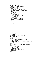# **PASCAL** — **Example #1**

Appendix A — Running Test Programs FOR PASCAL USER: PROGRAM DEMO; USES TURTLE GRAPHICS, APPLESTUF; VAR ANGLE,DISTANCE:INTEGER PRINT:TEXT BEGIN  $ANGLE: = 80;$  INITTURTLE; PENCOLOR(WHiTE); FOR DISTANCE:=1 TO 99 DO BEGIN MOVE(2DISTANCE); TURN(ANGLE); END REWRITE(PRINT, 'PRINTER WRITELN(PRINT,CHR\$(25),'G'); END

# **PASCAL** — **Example** #2

This program demonstrates how to load a picture which has been saved to disk using a BLOCKWRITE command.

PROGRAM Load Pic: USES TURTLEGRAPHICS,APPLESTUF; CONST Hi-Res\_\_\_\_\_\_Page\_\_\_\_\_\_1 = 8192: VAR Disk \_\_\_\_ Block:RECORD CASE BOOLEAN OF TRUE: (Intpart:INTEGER); FALSE:(Ptrpart:Y INTEGER); END: ch:CHAR fname:STRING; prnt:TEXT; PROCEDURE Bload(Filename:STRING); VAR io:INTEGER; f:FILE; BEGIN Disk\_\_\_\_\_\_Block.Intpart; Hi-Res\_\_\_\_\_Page\_\_\_\_\_ 1; RESET(f,Filename); io: = BLOCKREAD(f,Disk\_\_\_\_\_Block\_\_\_\_\_Ptrpart Y,16); CLOSE(f, LOCK); END; PROCEDURE Print Picture; VAR options:STRING; BEGIN WRITEQEnter options:'); READLN(options); REWRITE(prnt,'PRINTER:'); WRITELN(prnt,CHR\$(25),'G',options) CLOSE(prnt); END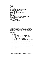<span id="page-33-0"></span>BEGIN INITTURTI F REPEAT **TEXTMODE** WRITELN('Enter picture name (specify drive):)' (An example of an ently would be: #5:Picture, Foto where Picture Foto is a picture on Drive #2.) READ LN(fname); GRAFMODE; Bload(fname); REPEAT UNTIL KEYPRESS;(wait until key is pressed) READ (KEYBOARD,ch);clear keyboard TEXTMODE; Print \_\_\_\_\_\_ Picture: WRITE('Print more pictures?); READLN(ch); UNTIL(ch='N') or (ch='n'); END

# **APPENDIX B** - **PRINT GRAPH SAVED TO DISK**

The following Applesoft BASIC programs are for the experienced user. They allow you to print graphics (from one of the popular graphics programs) which have been saved to disk.

Example #1

- 5 S=P~
- 10 HOME
- 20 0\$ = CHR\$(4):REM CTRLD for Apple DOS
- 40 PRINT ENTER THE NAME OF THE GRAPH:"
- 50 INPUTN\$
- 60 HGR:REM Clear Hi-Res Page 1
- 70 PRINT D\$;"BLOAD";N\$;",A\$2000":REM Load Picture
- 80 VTAB 22
- 90 PRINT ENTER OPTIONS (DIRLENORMAL);"
- 100 INPUTA\$
- 105 IF LEFT\$(A\$1)="N" THEN A\$~~" ':REM If normal, then no options.
- 110 PRINT D\$;"PR#";S:REM Turns PRO-GRAPPLER on
- 120 PRINT I\$;"G";A\$:REM Dump Hi-Res Page 1 with options
- 130 PRINT D\$;"PR#0":REM Turns PRO-GRAPPLER off
- 140 TEXT:HOME
- 999 END

29 If your PRO-GRAPPLER is not in Slot #1, change this to read the correct slot.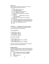# <span id="page-34-0"></span>**Example #2**

Enter a (Control-D) between the quotes in line 30. Enter a (Control-I) between the quotes in line 4Ø.

- 5 S=1
- 10 CALL-936:REM Home Cursor
- 20 DIM N\$(3Ø):DIM A\$(1Ø)
- 30 D\$ =" ":REM CTRL-D For Apple DOS
- 40 1\$ =" ":REM CRTL-I For CP/M
- 50 PRINT ENTER THE NAME OF THE GRAPH:"
- 60 INPUTN\$
- 70 PRINT D\$ A 2ØØØ":REM Load Picture into Hi-Res Page 1
- 80 PRINT ENTER OPTIONS (D,I,R,E,L NORMAL):" 90 INPUT A\$
- 
- 100 PRINT D\$;"PR#";S:REM Turns PRO-GRAPPLER on
- 110 PRINT I\$;"G';A\$:REM Dump Hi-Res Page 1 with options
- 120 PRINT D\$;"PR#Ø":REM Turns PRO-GRAPPLER off
- 130 TEXT:CALL-936:REM Home Cursor
- 999 END

# **APPENDIX** C — **LOADING DUAL HI-RES PAGES**

 You must load a a picture file into Hi-Res Pages 1 and 2 in order to use the DUAL HI-RES command.

# From **the Keyboard**

For Hi-Res Page 1, enter: BLOAD filename, A\$2ØØØ For Hi-Res Page 2, enter: BLOAD filename, A\$4ØØØ

# **From within** a **program**

For Hi-Res Page 1, enter: PRINT CHR\$(4);"BLOAD filename,A\$2ØØØ" For Hi-Res Page 2, enter: PRINT CHR\$(4);"BLOAD filename, A\$4ØØØ"

These DOS commands must precede the line containing the PR#n which turns the PRO-GRAPPLER on.

# **Sample program**

The following program loads two Hi-Res binary files (pictures): GRAPH 1 is loaded into Page 1, GRAPH 2 is loaded into Page 2. They are then printed to the printer using the DUAL HI-RES command.

- 10 PRINT CHR\$(4);"BLOAD GRAPH1,A\$2ØØØ"
- 20 PRINT CHR\$(4);"BLOAD GRAPH2,A\$4ØØØ"
- 30 PR#1
- 40 PRINT CHR\$(9);"GS"
- 60 PR#Ø:END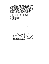# **APPENDIX D** — **SIMULATING A CHART RECORDER**

<span id="page-35-0"></span>**A** chart recorder prints a continuous graph on a roll of paper. If your chart might exceed a single page on your printer, you can simulate a chart recorder by printing successive pages together.

 The following program loads binary graph files (GRAPH 1 into Hi-Res Page 1, GRAPH 2 into Hi-Res Page 2) and prints one right after the other without the spaces between them (the ROTATE command may also be used with this program):

- 10 PRINT CHR\$(4);"BLOAD GRAPH1,A\$2000"
- 20 PRINT CHR\$(4);"BLOAD GRAPH2,A\$4000"
- 30 PR#1
- 40 PRINT CHR\$(9);"GR"
- 50 PRINT CHR\$(9);'G2R"
- 60 PR#0:END

# **APPENDIX E — ROUTINES FOR ADVANCED PROGRAMMERS**

The following PRO-GRAPPLER commands are provided for the benefit of advanced (assembly language) programmers:

CTRL-IUA Jump to the user routine starting at \$300.

This bypasses the PRO-GRAPPLER firmware. The Accumulator contains the output character. The user routine should 'JMP" to \$CFO3 when finished. This restores the stack and registers.

CTRLI1U Jump to the user routine starting at \$DOOO, Bank A of a RAM card in Slot #0.

> The PRO-GRAPPLER enables the RAM card prior to the Jump instruction. As with the CTRL-IU, the Accumulator contains the output character The user routine should "JMP' to \$CF0O to disable the RAM card and restore the. stack and registers when finished.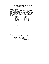# **APPENDIX F** - **MEMORY LOCATIONS AND CUSTOM DRIVERS**

# <span id="page-36-0"></span>**Memory Locations**

The PRO-GRAPPLER uses those RAM locations set aside for its particular slot and the slot scratchpad area common to all slots. The ROM is turned on using the standard ROM expansion protocol and resides in the locations \$C800 to \$CFFF. The entry points and the various RAM variables are listed below ( $N =$  slot number).

| <b>Cold Entry</b>      | \$CNØØ |           |             |
|------------------------|--------|-----------|-------------|
| <b>Warm Entry</b>      | \$CNØ2 |           |             |
| Left Margin            | \$478  | $+$       | \$ØN        |
| <b>Right Margin</b>    | \$678  | $+$       | <b>\$ØN</b> |
| Line Length            | \$578  | $\ddot{}$ | <b>\$ØN</b> |
| Page Length            | \$5F8  | $+$       | \$ØN        |
| <b>Character Count</b> | \$4F8  | $\ddot{}$ | \$ØN        |
| Line Counter           | \$6F8  | $+$       | \$ØN        |
| Current Cmd. Char.     | \$778  | $\ddot{}$ | \$ØN        |
| <b>Text Flags</b>      | \$7F8  | +         | \$ØN        |

Text Flag Bit Representations

| $\text{Bit } 7 =$      | Output high order bit |
|------------------------|-----------------------|
| Bit $6 =$              | Video turned on       |
| Bit $5 =$              | LF after CR           |
| Bit $4=$               | Bell On               |
| Bit $\varnothing$ -3 = | Reversed              |
|                        |                       |

# **Custom Drivers**

If you are writing your own drivers, the following locations are used to access the card  $(Y = NO$  where  $N =$  slot #):

| <b>ADDRESS</b> | <b>READ</b> | <b>WRITE</b>       |
|----------------|-------------|--------------------|
| \$CØ8Ø, Y      |             | Status Output      |
| \$CØ81, Y      |             | Select bank of ROM |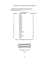<span id="page-37-0"></span> Table 3 lists the pin assignments for each connector on the PRO-GRAPPLER cable. The 36 pin male Centronics printer connector is shown in Figure 3.

| <b>PRINTER SIDE</b><br>1 |
|--------------------------|
|                          |
| 19                       |
| 2                        |
| 20                       |
| 3                        |
| 21                       |
| 4                        |
| 12                       |
| 5                        |
| 23                       |
| 6                        |
| 24                       |
| $\overline{7}$           |
| 25                       |
| 8                        |
| 26                       |
| 9                        |
| 27                       |
| 10                       |
| 28                       |
| 11                       |
| 29                       |
| 12                       |
| 13                       |
| 30                       |
|                          |

# **Table 3. PRO-GRAPPLER Pin Assignments.**





Figure 3